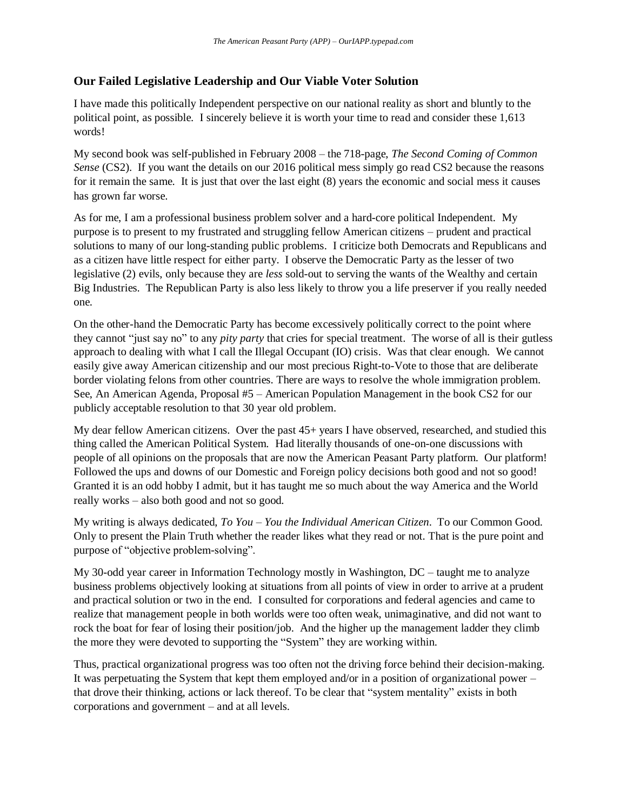## **Our Failed Legislative Leadership and Our Viable Voter Solution**

I have made this politically Independent perspective on our national reality as short and bluntly to the political point, as possible. I sincerely believe it is worth your time to read and consider these 1,613 words!

My second book was self-published in February 2008 – the 718-page, *The Second Coming of Common Sense* (CS2). If you want the details on our 2016 political mess simply go read CS2 because the reasons for it remain the same. It is just that over the last eight (8) years the economic and social mess it causes has grown far worse.

As for me, I am a professional business problem solver and a hard-core political Independent. My purpose is to present to my frustrated and struggling fellow American citizens – prudent and practical solutions to many of our long-standing public problems. I criticize both Democrats and Republicans and as a citizen have little respect for either party. I observe the Democratic Party as the lesser of two legislative (2) evils, only because they are *less* sold-out to serving the wants of the Wealthy and certain Big Industries. The Republican Party is also less likely to throw you a life preserver if you really needed one.

On the other-hand the Democratic Party has become excessively politically correct to the point where they cannot "just say no" to any *pity party* that cries for special treatment. The worse of all is their gutless approach to dealing with what I call the Illegal Occupant (IO) crisis. Was that clear enough. We cannot easily give away American citizenship and our most precious Right-to-Vote to those that are deliberate border violating felons from other countries. There are ways to resolve the whole immigration problem. See, An American Agenda, Proposal #5 – American Population Management in the book CS2 for our publicly acceptable resolution to that 30 year old problem.

My dear fellow American citizens. Over the past 45+ years I have observed, researched, and studied this thing called the American Political System. Had literally thousands of one-on-one discussions with people of all opinions on the proposals that are now the American Peasant Party platform. Our platform! Followed the ups and downs of our Domestic and Foreign policy decisions both good and not so good! Granted it is an odd hobby I admit, but it has taught me so much about the way America and the World really works – also both good and not so good.

My writing is always dedicated, *To You – You the Individual American Citizen*. To our Common Good. Only to present the Plain Truth whether the reader likes what they read or not. That is the pure point and purpose of "objective problem-solving".

My 30-odd year career in Information Technology mostly in Washington, DC – taught me to analyze business problems objectively looking at situations from all points of view in order to arrive at a prudent and practical solution or two in the end. I consulted for corporations and federal agencies and came to realize that management people in both worlds were too often weak, unimaginative, and did not want to rock the boat for fear of losing their position/job. And the higher up the management ladder they climb the more they were devoted to supporting the "System" they are working within.

Thus, practical organizational progress was too often not the driving force behind their decision-making. It was perpetuating the System that kept them employed and/or in a position of organizational power – that drove their thinking, actions or lack thereof. To be clear that "system mentality" exists in both corporations and government – and at all levels.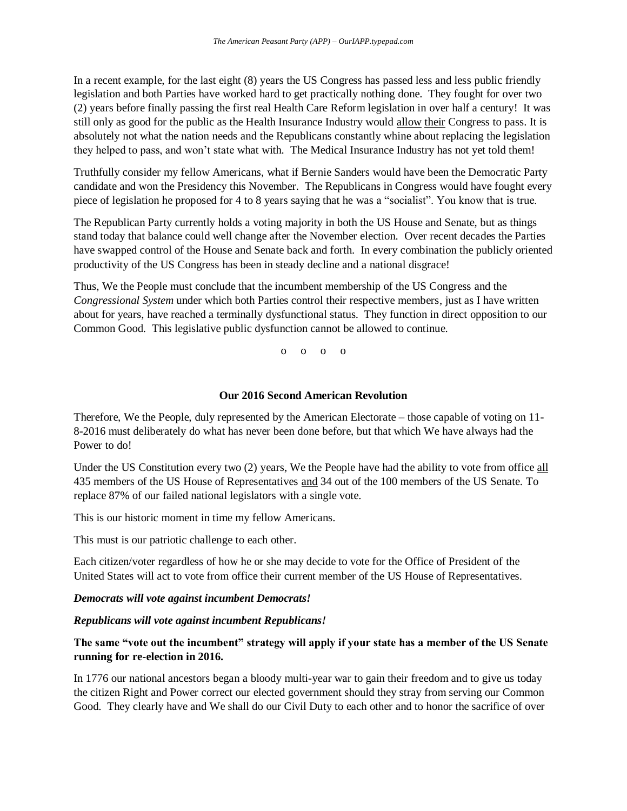In a recent example, for the last eight (8) years the US Congress has passed less and less public friendly legislation and both Parties have worked hard to get practically nothing done. They fought for over two (2) years before finally passing the first real Health Care Reform legislation in over half a century! It was still only as good for the public as the Health Insurance Industry would allow their Congress to pass. It is absolutely not what the nation needs and the Republicans constantly whine about replacing the legislation they helped to pass, and won't state what with. The Medical Insurance Industry has not yet told them!

Truthfully consider my fellow Americans, what if Bernie Sanders would have been the Democratic Party candidate and won the Presidency this November. The Republicans in Congress would have fought every piece of legislation he proposed for 4 to 8 years saying that he was a "socialist". You know that is true.

The Republican Party currently holds a voting majority in both the US House and Senate, but as things stand today that balance could well change after the November election. Over recent decades the Parties have swapped control of the House and Senate back and forth. In every combination the publicly oriented productivity of the US Congress has been in steady decline and a national disgrace!

Thus, We the People must conclude that the incumbent membership of the US Congress and the *Congressional System* under which both Parties control their respective members, just as I have written about for years, have reached a terminally dysfunctional status. They function in direct opposition to our Common Good. This legislative public dysfunction cannot be allowed to continue.

o o o o

#### **Our 2016 Second American Revolution**

Therefore, We the People, duly represented by the American Electorate – those capable of voting on 11- 8-2016 must deliberately do what has never been done before, but that which We have always had the Power to do!

Under the US Constitution every two (2) years, We the People have had the ability to vote from office all 435 members of the US House of Representatives and 34 out of the 100 members of the US Senate. To replace 87% of our failed national legislators with a single vote.

This is our historic moment in time my fellow Americans.

This must is our patriotic challenge to each other.

Each citizen/voter regardless of how he or she may decide to vote for the Office of President of the United States will act to vote from office their current member of the US House of Representatives.

#### *Democrats will vote against incumbent Democrats!*

#### *Republicans will vote against incumbent Republicans!*

### **The same "vote out the incumbent" strategy will apply if your state has a member of the US Senate running for re-election in 2016.**

In 1776 our national ancestors began a bloody multi-year war to gain their freedom and to give us today the citizen Right and Power correct our elected government should they stray from serving our Common Good. They clearly have and We shall do our Civil Duty to each other and to honor the sacrifice of over